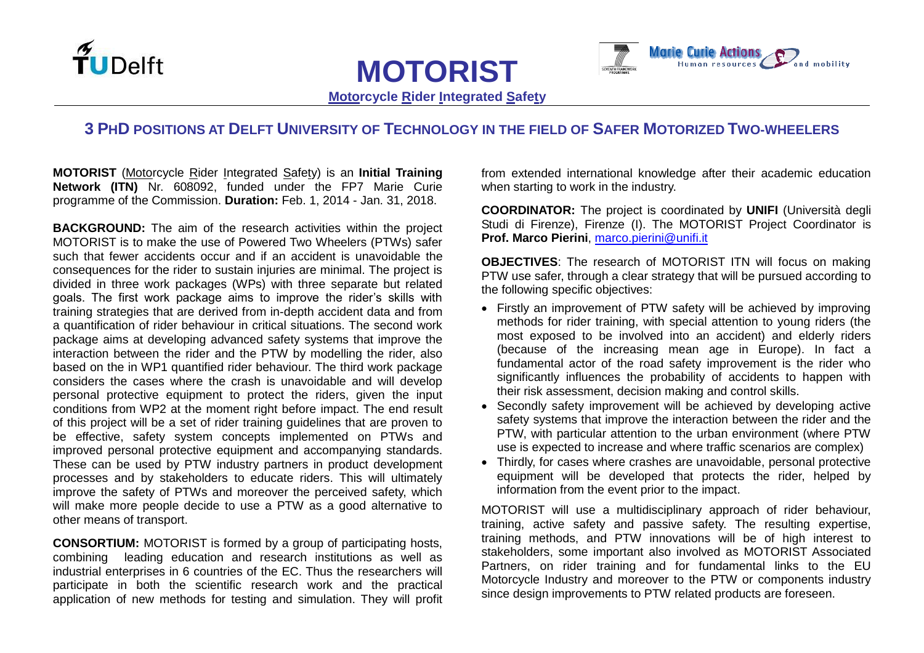



**Motorcycle Rider Integrated Safety**

**MOTORIST**

## 3 PHD POSITIONS AT DELFT UNIVERSITY OF TECHNOLOGY IN THE FIELD OF SAFER MOTORIZED TWO-WHEELERS

**MOTORIST** (Motorcycle Rider Integrated Safety) is an **Initial Training Network (ITN)** Nr. 608092, funded under the FP7 Marie Curie programme of the Commission. **Duration:** Feb. 1, 2014 - Jan. 31, 2018.

**BACKGROUND:** The aim of the research activities within the project MOTORIST is to make the use of Powered Two Wheelers (PTWs) safer such that fewer accidents occur and if an accident is unavoidable the consequences for the rider to sustain injuries are minimal. The project is divided in three work packages (WPs) with three separate but related goals. The first work package aims to improve the rider's skills with training strategies that are derived from in-depth accident data and from a quantification of rider behaviour in critical situations. The second work package aims at developing advanced safety systems that improve the interaction between the rider and the PTW by modelling the rider, also based on the in WP1 quantified rider behaviour. The third work package considers the cases where the crash is unavoidable and will develop personal protective equipment to protect the riders, given the input conditions from WP2 at the moment right before impact. The end result of this project will be a set of rider training guidelines that are proven to be effective, safety system concepts implemented on PTWs and improved personal protective equipment and accompanying standards. These can be used by PTW industry partners in product development processes and by stakeholders to educate riders. This will ultimately improve the safety of PTWs and moreover the perceived safety, which will make more people decide to use a PTW as a good alternative to other means of transport.

**CONSORTIUM:** MOTORIST is formed by a group of participating hosts, combining leading education and research institutions as well as industrial enterprises in 6 countries of the EC. Thus the researchers will participate in both the scientific research work and the practical application of new methods for testing and simulation. They will profit from extended international knowledge after their academic education when starting to work in the industry.

**COORDINATOR:** The project is coordinated by **UNIFI** (Università degli Studi di Firenze), Firenze (I). The MOTORIST Project Coordinator is **Prof. Marco Pierini**, [marco.pierini@unifi.it](mailto:marco.pierini@unifi.it)

**OBJECTIVES**: The research of MOTORIST ITN will focus on making PTW use safer, through a clear strategy that will be pursued according to the following specific objectives:

- Firstly an improvement of PTW safety will be achieved by improving methods for rider training, with special attention to young riders (the most exposed to be involved into an accident) and elderly riders (because of the increasing mean age in Europe). In fact a fundamental actor of the road safety improvement is the rider who significantly influences the probability of accidents to happen with their risk assessment, decision making and control skills.
- Secondly safety improvement will be achieved by developing active safety systems that improve the interaction between the rider and the PTW, with particular attention to the urban environment (where PTW use is expected to increase and where traffic scenarios are complex)
- Thirdly, for cases where crashes are unavoidable, personal protective equipment will be developed that protects the rider, helped by information from the event prior to the impact.

MOTORIST will use a multidisciplinary approach of rider behaviour, training, active safety and passive safety. The resulting expertise, training methods, and PTW innovations will be of high interest to stakeholders, some important also involved as MOTORIST Associated Partners, on rider training and for fundamental links to the EU Motorcycle Industry and moreover to the PTW or components industry since design improvements to PTW related products are foreseen.